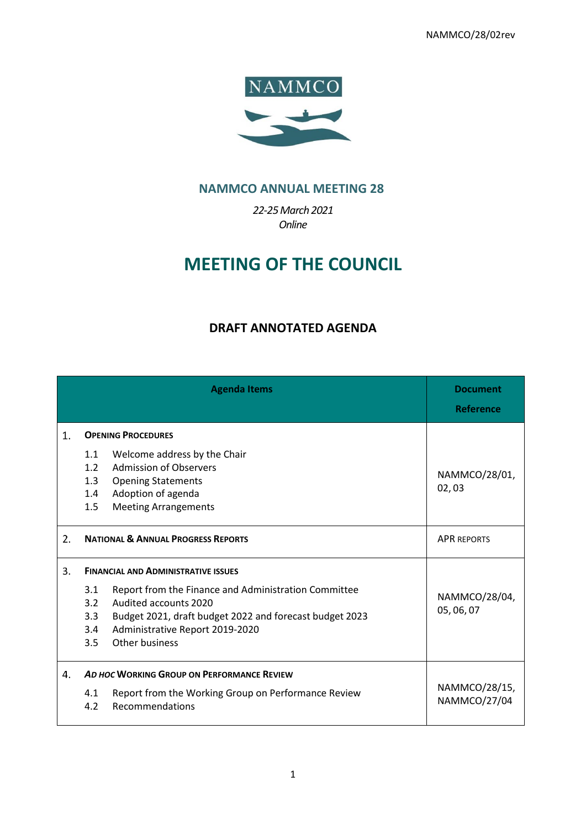NAMMCO/28/02rev



# **NAMMCO ANNUAL MEETING 28**

*22-25March 2021 Online*

# **MEETING OF THE COUNCIL**

# **DRAFT ANNOTATED AGENDA**

|    | <b>Agenda Items</b>                                                                                                                                                                                                                                                            | <b>Document</b><br><b>Reference</b> |
|----|--------------------------------------------------------------------------------------------------------------------------------------------------------------------------------------------------------------------------------------------------------------------------------|-------------------------------------|
| 1. | <b>OPENING PROCEDURES</b>                                                                                                                                                                                                                                                      |                                     |
|    | Welcome address by the Chair<br>1.1<br><b>Admission of Observers</b><br>1.2<br>1.3<br><b>Opening Statements</b><br>Adoption of agenda<br>1.4<br>1.5<br><b>Meeting Arrangements</b>                                                                                             | NAMMCO/28/01,<br>02,03              |
| 2. | <b>NATIONAL &amp; ANNUAL PROGRESS REPORTS</b>                                                                                                                                                                                                                                  | <b>APR REPORTS</b>                  |
| 3. | <b>FINANCIAL AND ADMINISTRATIVE ISSUES</b><br>Report from the Finance and Administration Committee<br>3.1<br>Audited accounts 2020<br>3.2<br>3.3<br>Budget 2021, draft budget 2022 and forecast budget 2023<br>Administrative Report 2019-2020<br>3.4<br>Other business<br>3.5 | NAMMCO/28/04,<br>05, 06, 07         |
| 4. | AD HOC WORKING GROUP ON PERFORMANCE REVIEW<br>Report from the Working Group on Performance Review<br>4.1<br><b>Recommendations</b><br>4.2                                                                                                                                      | NAMMCO/28/15,<br>NAMMCO/27/04       |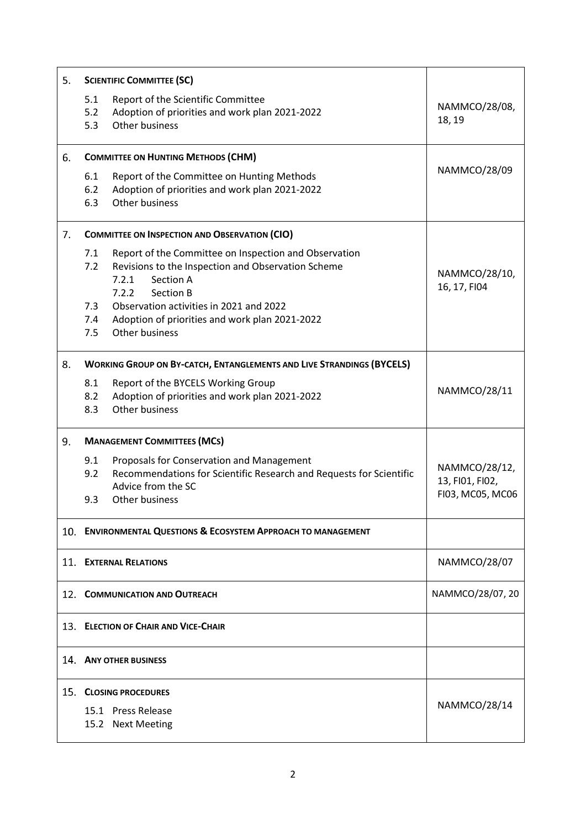| 5.  | <b>SCIENTIFIC COMMITTEE (SC)</b>                                                                                                                                                                                                                                                                          |                                                      |
|-----|-----------------------------------------------------------------------------------------------------------------------------------------------------------------------------------------------------------------------------------------------------------------------------------------------------------|------------------------------------------------------|
|     | 5.1<br>Report of the Scientific Committee<br>Adoption of priorities and work plan 2021-2022<br>5.2<br>Other business<br>5.3                                                                                                                                                                               | NAMMCO/28/08,<br>18, 19                              |
| 6.  | <b>COMMITTEE ON HUNTING METHODS (CHM)</b>                                                                                                                                                                                                                                                                 |                                                      |
|     | 6.1<br>Report of the Committee on Hunting Methods<br>6.2<br>Adoption of priorities and work plan 2021-2022<br>Other business<br>6.3                                                                                                                                                                       | NAMMCO/28/09                                         |
| 7.  | <b>COMMITTEE ON INSPECTION AND OBSERVATION (CIO)</b>                                                                                                                                                                                                                                                      |                                                      |
|     | 7.1<br>Report of the Committee on Inspection and Observation<br>Revisions to the Inspection and Observation Scheme<br>7.2<br>Section A<br>7.2.1<br>7.2.2<br>Section B<br>Observation activities in 2021 and 2022<br>7.3<br>7.4<br>Adoption of priorities and work plan 2021-2022<br>Other business<br>7.5 | NAMMCO/28/10,<br>16, 17, FI04                        |
| 8.  | <b>WORKING GROUP ON BY-CATCH, ENTANGLEMENTS AND LIVE STRANDINGS (BYCELS)</b>                                                                                                                                                                                                                              |                                                      |
|     | 8.1<br>Report of the BYCELS Working Group<br>Adoption of priorities and work plan 2021-2022<br>8.2<br>Other business<br>8.3                                                                                                                                                                               | NAMMCO/28/11                                         |
| 9.  | <b>MANAGEMENT COMMITTEES (MCs)</b>                                                                                                                                                                                                                                                                        |                                                      |
|     | Proposals for Conservation and Management<br>9.1<br>Recommendations for Scientific Research and Requests for Scientific<br>9.2<br>Advice from the SC<br>Other business<br>9.3                                                                                                                             | NAMMCO/28/12,<br>13, FI01, FI02,<br>FI03, MC05, MC06 |
|     | 10. ENVIRONMENTAL QUESTIONS & ECOSYSTEM APPROACH TO MANAGEMENT                                                                                                                                                                                                                                            |                                                      |
|     | 11. EXTERNAL RELATIONS                                                                                                                                                                                                                                                                                    | NAMMCO/28/07                                         |
|     | 12. COMMUNICATION AND OUTREACH                                                                                                                                                                                                                                                                            | NAMMCO/28/07, 20                                     |
|     | 13. ELECTION OF CHAIR AND VICE-CHAIR                                                                                                                                                                                                                                                                      |                                                      |
|     | 14. ANY OTHER BUSINESS                                                                                                                                                                                                                                                                                    |                                                      |
| 15. | <b>CLOSING PROCEDURES</b><br>15.1 Press Release<br>15.2 Next Meeting                                                                                                                                                                                                                                      | NAMMCO/28/14                                         |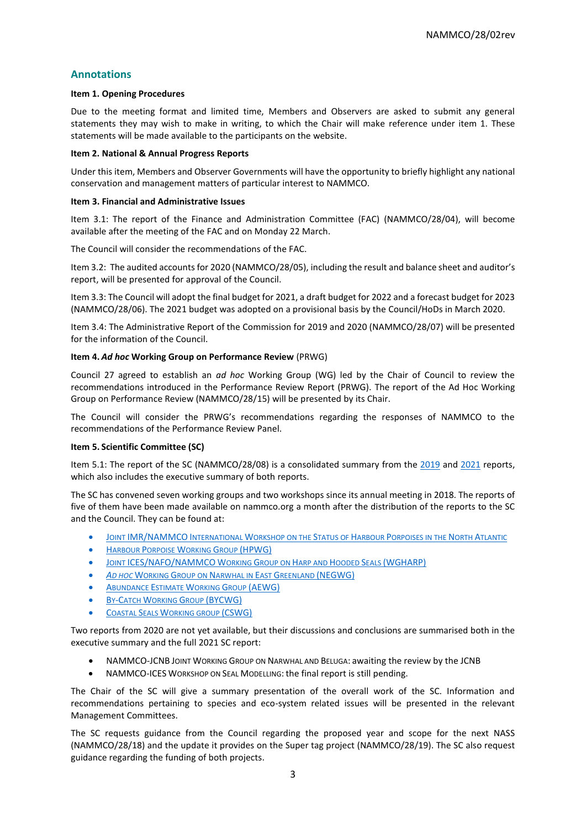# **Annotations**

## **Item 1. Opening Procedures**

Due to the meeting format and limited time, Members and Observers are asked to submit any general statements they may wish to make in writing, to which the Chair will make reference under item 1. These statements will be made available to the participants on the website.

## **Item 2. National & Annual Progress Reports**

Under this item, Members and Observer Governments will have the opportunity to briefly highlight any national conservation and management matters of particular interest to NAMMCO.

#### **Item 3. Financial and Administrative Issues**

Item 3.1: The report of the Finance and Administration Committee (FAC) (NAMMCO/28/04), will become available after the meeting of the FAC and on Monday 22 March.

The Council will consider the recommendations of the FAC.

Item 3.2: The audited accounts for 2020 (NAMMCO/28/05), including the result and balance sheet and auditor's report, will be presented for approval of the Council.

Item 3.3: The Council will adopt the final budget for 2021, a draft budget for 2022 and a forecast budget for 2023 (NAMMCO/28/06). The 2021 budget was adopted on a provisional basis by the Council/HoDs in March 2020.

Item 3.4: The Administrative Report of the Commission for 2019 and 2020 (NAMMCO/28/07) will be presented for the information of the Council.

# **Item 4.** *Ad hoc* **Working Group on Performance Review** (PRWG)

Council 27 agreed to establish an *ad hoc* Working Group (WG) led by the Chair of Council to review the recommendations introduced in the Performance Review Report (PRWG). The report of the Ad Hoc Working Group on Performance Review (NAMMCO/28/15) will be presented by its Chair.

The Council will consider the PRWG's recommendations regarding the responses of NAMMCO to the recommendations of the Performance Review Panel.

#### **Item 5. Scientific Committee (SC)**

Item 5.1: The report of the SC (NAMMCO/28/08) is a consolidated summary from the [2019](https://nammco.no/wp-content/uploads/2017/01/final-report_sc26-2019_rev230120.pdf) and [2021](https://nammco.no/wp-content/uploads/2017/01/final_report_sc27_2021.pdf) reports, which also includes the executive summary of both reports.

The SC has convened seven working groups and two workshops since its annual meeting in 2018. The reports of five of them have been made available on nammco.org a month after the distribution of the reports to the SC and the Council. They can be found at:

- JOINT [IMR/NAMMCO](https://nammco.no/wp-content/uploads/2019/02/final-report_hpws_2019.pdf) INTERNATIONAL WORKSHOP ON THE STATUS OF HARBOUR PORPOISES IN THE NORTH ATLANTIC
- HARBOUR PORPOISE WORKING GROUP [\(HPWG\)](https://nammco.no/topics/hpwg_reports/)
- JOINT [ICES/NAFO/NAMMCO](https://nammco.no/topics/wgharp_reports/) WORKING GROUP ON HARP AND HOODED SEALS (WGHARP)
- *AD HOC* WORKING GROUP ON N[ARWHAL IN](https://nammco.no/topics/narwhal_beluga_reports/) EAST GREENLAND (NEGWG)
- A[BUNDANCE](https://nammco.no/topics/abundance_estimates_reports/) ESTIMATE WORKING GROUP (AEWG)
- **BY-CATCH WORKING GROUP [\(BYCWG\)](https://nammco.no/topics/byc_reports/)**
- **COASTAL SEALS W[ORKING GROUP](https://nammco.no/topics/cswg_reports/) (CSWG)**

Two reports from 2020 are not yet available, but their discussions and conclusions are summarised both in the executive summary and the full 2021 SC report:

- NAMMCO-JCNB JOINT WORKING GROUP ON NARWHAL AND BELUGA: awaiting the review by the JCNB
- NAMMCO-ICES WORKSHOP ON SEAL MODELLING: the final report is still pending.

The Chair of the SC will give a summary presentation of the overall work of the SC. Information and recommendations pertaining to species and eco-system related issues will be presented in the relevant Management Committees.

The SC requests guidance from the Council regarding the proposed year and scope for the next NASS (NAMMCO/28/18) and the update it provides on the Super tag project (NAMMCO/28/19). The SC also request guidance regarding the funding of both projects.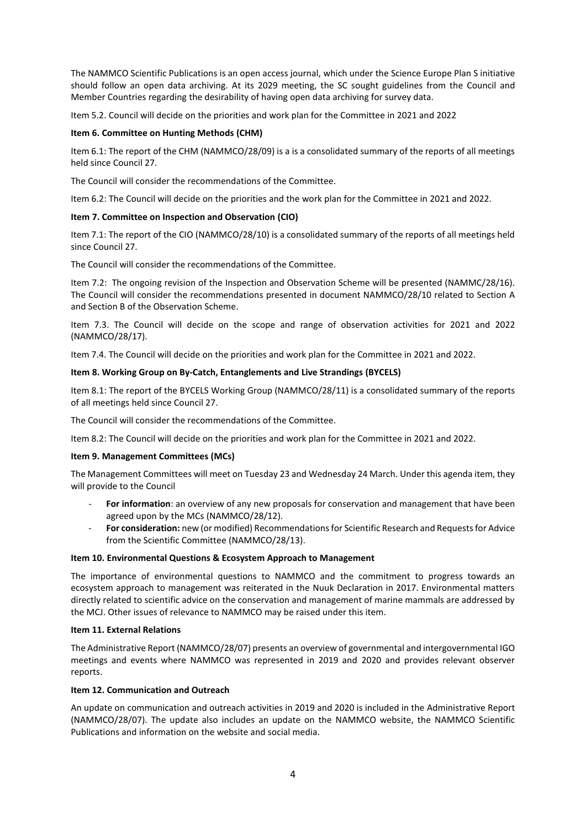The NAMMCO Scientific Publications is an open access journal, which under the Science Europe Plan S initiative should follow an open data archiving. At its 2029 meeting, the SC sought guidelines from the Council and Member Countries regarding the desirability of having open data archiving for survey data.

Item 5.2. Council will decide on the priorities and work plan for the Committee in 2021 and 2022

# **Item 6. Committee on Hunting Methods (CHM)**

Item 6.1: The report of the CHM (NAMMCO/28/09) is a is a consolidated summary of the reports of all meetings held since Council 27.

The Council will consider the recommendations of the Committee.

Item 6.2: The Council will decide on the priorities and the work plan for the Committee in 2021 and 2022.

# **Item 7. Committee on Inspection and Observation (CIO)**

Item 7.1: The report of the CIO (NAMMCO/28/10) is a consolidated summary of the reports of all meetings held since Council 27.

The Council will consider the recommendations of the Committee.

Item 7.2: The ongoing revision of the Inspection and Observation Scheme will be presented (NAMMC/28/16). The Council will consider the recommendations presented in document NAMMCO/28/10 related to Section A and Section B of the Observation Scheme.

Item 7.3. The Council will decide on the scope and range of observation activities for 2021 and 2022 (NAMMCO/28/17).

Item 7.4. The Council will decide on the priorities and work plan for the Committee in 2021 and 2022.

# **Item 8. Working Group on By-Catch, Entanglements and Live Strandings (BYCELS)**

Item 8.1: The report of the BYCELS Working Group (NAMMCO/28/11) is a consolidated summary of the reports of all meetings held since Council 27.

The Council will consider the recommendations of the Committee.

Item 8.2: The Council will decide on the priorities and work plan for the Committee in 2021 and 2022.

# **Item 9. Management Committees (MCs)**

The Management Committees will meet on Tuesday 23 and Wednesday 24 March. Under this agenda item, they will provide to the Council

- For information: an overview of any new proposals for conservation and management that have been agreed upon by the MCs (NAMMCO/28/12).
- **For consideration:** new (or modified) Recommendations for Scientific Research and Requests for Advice from the Scientific Committee (NAMMCO/28/13).

# **Item 10. Environmental Questions & Ecosystem Approach to Management**

The importance of environmental questions to NAMMCO and the commitment to progress towards an ecosystem approach to management was reiterated in the Nuuk Declaration in 2017. Environmental matters directly related to scientific advice on the conservation and management of marine mammals are addressed by the MCJ. Other issues of relevance to NAMMCO may be raised under this item.

# **Item 11. External Relations**

The Administrative Report (NAMMCO/28/07) presents an overview of governmental and intergovernmental IGO meetings and events where NAMMCO was represented in 2019 and 2020 and provides relevant observer reports.

# **Item 12. Communication and Outreach**

An update on communication and outreach activities in 2019 and 2020 is included in the Administrative Report (NAMMCO/28/07). The update also includes an update on the NAMMCO website, the NAMMCO Scientific Publications and information on the website and social media.